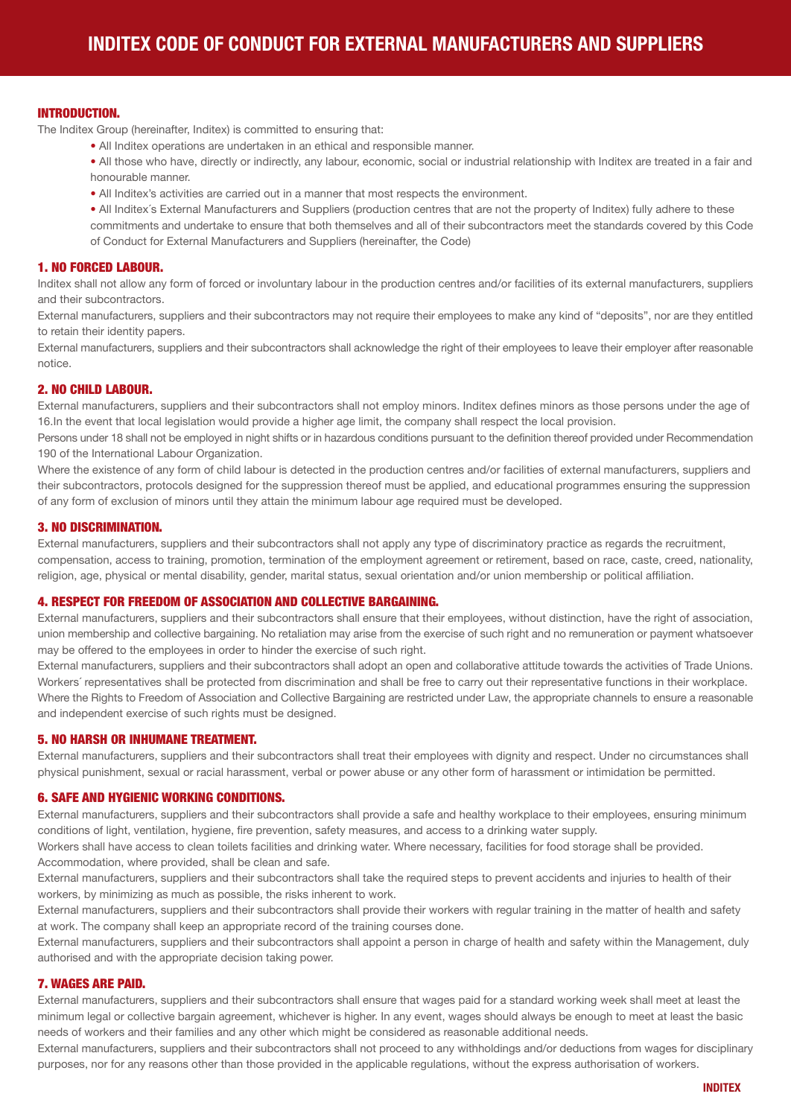### INTRODUCTION.

The Inditex Group (hereinafter, Inditex) is committed to ensuring that:

• All Inditex operations are undertaken in an ethical and responsible manner.

• All those who have, directly or indirectly, any labour, economic, social or industrial relationship with Inditex are treated in a fair and honourable manner.

• All Inditex's activities are carried out in a manner that most respects the environment.

• All Inditex´s External Manufacturers and Suppliers (production centres that are not the property of Inditex) fully adhere to these commitments and undertake to ensure that both themselves and all of their subcontractors meet the standards covered by this Code of Conduct for External Manufacturers and Suppliers (hereinafter, the Code)

# 1. NO FORCED LABOUR.

Inditex shall not allow any form of forced or involuntary labour in the production centres and/or facilities of its external manufacturers, suppliers and their subcontractors.

External manufacturers, suppliers and their subcontractors may not require their employees to make any kind of "deposits", nor are they entitled to retain their identity papers.

External manufacturers, suppliers and their subcontractors shall acknowledge the right of their employees to leave their employer after reasonable notice.

## 2. NO CHILD LABOUR.

External manufacturers, suppliers and their subcontractors shall not employ minors. Inditex defines minors as those persons under the age of 16.In the event that local legislation would provide a higher age limit, the company shall respect the local provision.

Persons under 18 shall not be employed in night shifts or in hazardous conditions pursuant to the definition thereof provided under Recommendation 190 of the International Labour Organization.

Where the existence of any form of child labour is detected in the production centres and/or facilities of external manufacturers, suppliers and their subcontractors, protocols designed for the suppression thereof must be applied, and educational programmes ensuring the suppression of any form of exclusion of minors until they attain the minimum labour age required must be developed.

### 3. NO DISCRIMINATION.

External manufacturers, suppliers and their subcontractors shall not apply any type of discriminatory practice as regards the recruitment, compensation, access to training, promotion, termination of the employment agreement or retirement, based on race, caste, creed, nationality, religion, age, physical or mental disability, gender, marital status, sexual orientation and/or union membership or political affiliation.

## 4. RESPECT FOR FREEDOM OF ASSOCIATION AND COLLECTIVE BARGAINING.

External manufacturers, suppliers and their subcontractors shall ensure that their employees, without distinction, have the right of association, union membership and collective bargaining. No retaliation may arise from the exercise of such right and no remuneration or payment whatsoever may be offered to the employees in order to hinder the exercise of such right.

External manufacturers, suppliers and their subcontractors shall adopt an open and collaborative attitude towards the activities of Trade Unions. Workers´ representatives shall be protected from discrimination and shall be free to carry out their representative functions in their workplace. Where the Rights to Freedom of Association and Collective Bargaining are restricted under Law, the appropriate channels to ensure a reasonable and independent exercise of such rights must be designed.

## 5. NO HARSH OR INHUMANE TREATMENT.

External manufacturers, suppliers and their subcontractors shall treat their employees with dignity and respect. Under no circumstances shall physical punishment, sexual or racial harassment, verbal or power abuse or any other form of harassment or intimidation be permitted.

## 6. SAFE AND HYGIENIC WORKING CONDITIONS.

External manufacturers, suppliers and their subcontractors shall provide a safe and healthy workplace to their employees, ensuring minimum conditions of light, ventilation, hygiene, fire prevention, safety measures, and access to a drinking water supply.

Workers shall have access to clean toilets facilities and drinking water. Where necessary, facilities for food storage shall be provided. Accommodation, where provided, shall be clean and safe.

External manufacturers, suppliers and their subcontractors shall take the required steps to prevent accidents and injuries to health of their workers, by minimizing as much as possible, the risks inherent to work.

External manufacturers, suppliers and their subcontractors shall provide their workers with regular training in the matter of health and safety at work. The company shall keep an appropriate record of the training courses done.

External manufacturers, suppliers and their subcontractors shall appoint a person in charge of health and safety within the Management, duly authorised and with the appropriate decision taking power.

# 7. WAGES ARE PAID.

External manufacturers, suppliers and their subcontractors shall ensure that wages paid for a standard working week shall meet at least the minimum legal or collective bargain agreement, whichever is higher. In any event, wages should always be enough to meet at least the basic needs of workers and their families and any other which might be considered as reasonable additional needs.

External manufacturers, suppliers and their subcontractors shall not proceed to any withholdings and/or deductions from wages for disciplinary purposes, nor for any reasons other than those provided in the applicable regulations, without the express authorisation of workers.